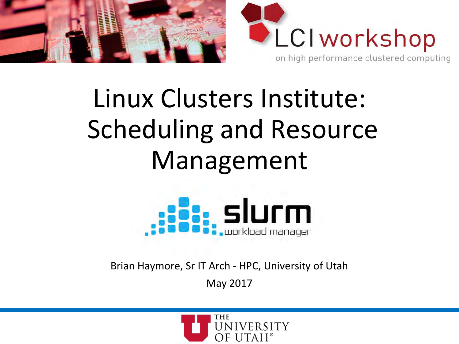



# Linux Clusters Institute: Scheduling and Resource Management



Brian Haymore, Sr IT Arch - HPC, University of Utah May 2017

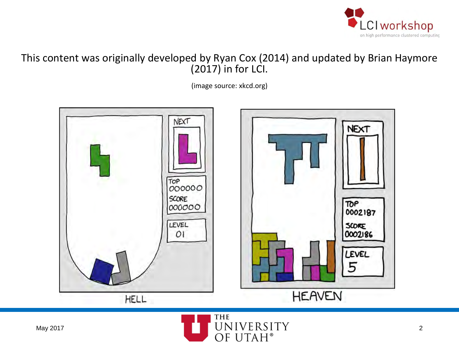

#### This content was originally developed by Ryan Cox (2014) and updated by Brian Haymore  $(2017)$  in for LCI.

(image source: xkcd.org)



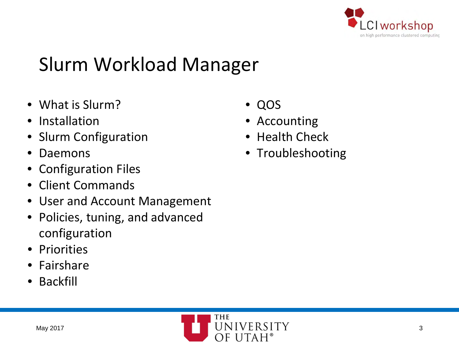

# Slurm Workload Manager

- What is Slurm?
- Installation
- Slurm Configuration
- Daemons
- Configuration Files
- Client Commands
- User and Account Management
- Policies, tuning, and advanced configuration
- Priorities
- Fairshare
- Backfill
	- THE May 2017  $\blacksquare$   $\blacksquare$   $\blacksquare$   $\blacksquare$   $\blacksquare$   $\blacksquare$   $\blacksquare$   $\blacksquare$   $\blacksquare$   $\blacksquare$   $\blacksquare$   $\blacksquare$   $\blacksquare$   $\blacksquare$   $\blacksquare$   $\blacksquare$   $\blacksquare$   $\blacksquare$   $\blacksquare$   $\blacksquare$   $\blacksquare$   $\blacksquare$   $\blacksquare$   $\blacksquare$   $\blacksquare$   $\blacksquare$   $\blacksquare$   $\blacksquare$   $\blacksquare$   $\blacksquare$   $\$ OF UTAH®
- QOS
- Accounting
- Health Check
- Troubleshooting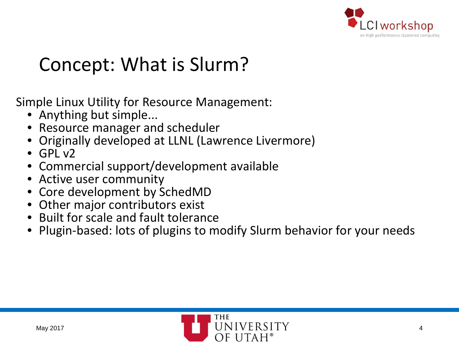

### Concept: What is Slurm?

Simple Linux Utility for Resource Management:

- Anything but simple...
- Resource manager and scheduler
- Originally developed at LLNL (Lawrence Livermore)
- $\bullet$  GPL  $\vee$ 2
- Commercial support/development available
- Active user community
- Core development by SchedMD
- Other major contributors exist
- Built for scale and fault tolerance
- Plugin-based: lots of plugins to modify Slurm behavior for your needs

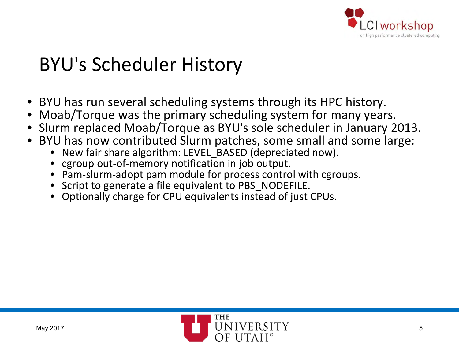

# BYU's Scheduler History

- BYU has run several scheduling systems through its HPC history.
- Moab/Torque was the primary scheduling system for many years.
- Slurm replaced Moab/Torque as BYU's sole scheduler in January 2013.
- BYU has now contributed Slurm patches, some small and some large:
	- New fair share algorithm: LEVEL\_BASED (depreciated now).
	- cgroup out-of-memory notification in job output.
	- Pam-slurm-adopt pam module for process control with cgroups.
	- Script to generate a file equivalent to PBS\_NODEFILE.
	- Optionally charge for CPU equivalents instead of just CPUs.

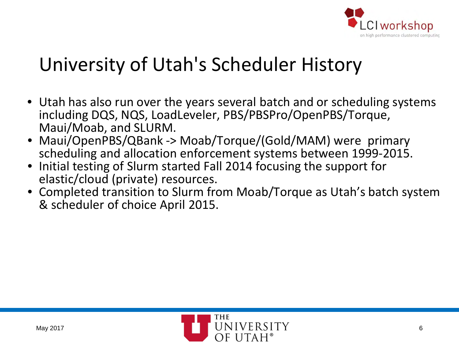

#### University of Utah's Scheduler History

- Utah has also run over the years several batch and or scheduling systems including DQS, NQS, LoadLeveler, PBS/PBSPro/OpenPBS/Torque, Maui/Moab, and SLURM.
- Maui/OpenPBS/QBank -> Moab/Torque/(Gold/MAM) were primary scheduling and allocation enforcement systems between 1999-2015.
- Initial testing of Slurm started Fall 2014 focusing the support for elastic/cloud (private) resources.
- Completed transition to Slurm from Moab/Torque as Utah's batch system & scheduler of choice April 2015.

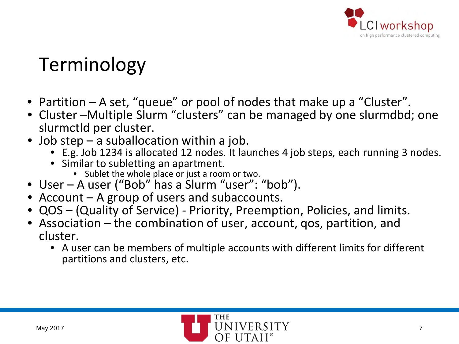

# Terminology

- Partition A set, "queue" or pool of nodes that make up a "Cluster".
- Cluster –Multiple Slurm "clusters" can be managed by one slurmdbd; one slurmctld per cluster.
- Job step a suballocation within a job.
	- E.g. Job 1234 is allocated 12 nodes. It launches 4 job steps, each running 3 nodes.
	- Similar to subletting an apartment.
		- Sublet the whole place or just a room or two.
- User A user ("Bob" has a Slurm "user": "bob").
- Account A group of users and subaccounts.
- QOS (Quality of Service) Priority, Preemption, Policies, and limits.
- Association the combination of user, account, gos, partition, and cluster.
	- A user can be members of multiple accounts with different limits for different partitions and clusters, etc.

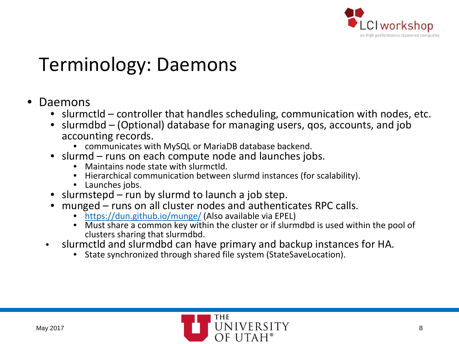

#### Terminology: Daemons

#### • Daemons

- slurmctld controller that handles scheduling, communication with nodes, etc.
- slurmdbd (Optional) database for managing users, qos, accounts, and job accounting records.
	- communicates with MySQL or MariaDB database backend.
- slurmd runs on each compute node and launches jobs.
	- Maintains node state with slurmctld.
	- Hierarchical communication between slurmd instances (for scalability).
	- Launches jobs.
- slurmstepd run by slurmd to launch a job step.
- munged runs on all cluster nodes and authenticates RPC calls.
	- <https://dun.github.io/munge/> (Also available via EPEL)
	- Must share a common key within the cluster or if slurmdbd is used within the pool of clusters sharing that slurmdbd.
- slurmctld and slurmdbd can have primary and backup instances for HA.
	- State synchronized through shared file system (StateSaveLocation).

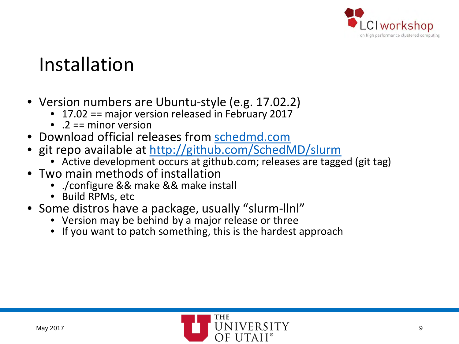

#### Installation

- Version numbers are Ubuntu-style (e.g. 17.02.2)
	- 17.02 == major version released in February 2017
	- $\bullet$   $2 ==$  minor version
- Download official releases from [schedmd.com](https://www.schedmd.com/downloads.php)
- git repo available at <http://github.com/SchedMD/slurm>
	- Active development occurs at github.com; releases are tagged (git tag)
- Two main methods of installation
	- ./configure && make && make install
	- Build RPMs, etc
- Some distros have a package, usually "slurm-llnl"
	- Version may be behind by a major release or three
	- If you want to patch something, this is the hardest approach

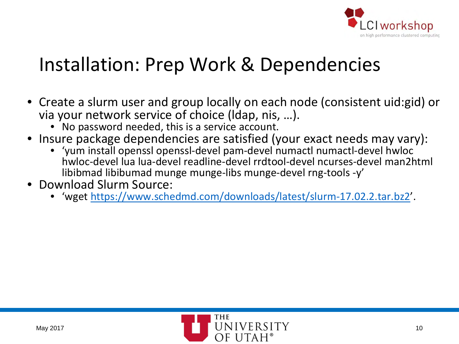

#### Installation: Prep Work & Dependencies

- Create a slurm user and group locally on each node (consistent uid:gid) or via your network service of choice (ldap, nis, …).
	- No password needed, this is a service account.
- Insure package dependencies are satisfied (your exact needs may vary):
	- 'yum install openssl openssl-devel pam-devel numactl numactl-devel hwloc hwloc-devel lua lua-devel readline-devel rrdtool-devel ncurses-devel man2html libibmad libibumad munge munge-libs munge-devel rng-tools -y'
- Download Slurm Source:
	- 'wget [https://www.schedmd.com/downloads/latest/slurm-17.02.2.tar.bz2'](https://www.schedmd.com/downloads/latest/slurm-17.02.2.tar.bz2).

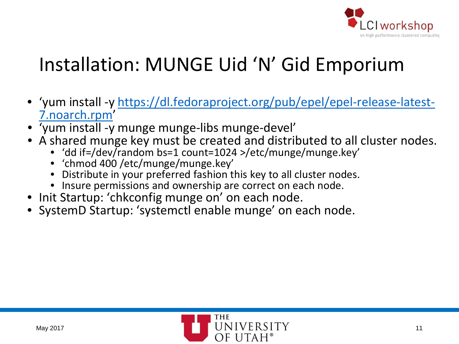

# Installation: MUNGE Uid 'N' Gid Emporium

- ['yum install -y https://dl.fedoraproject.org/pub/epel/epel-release-latest-](https://dl.fedoraproject.org/pub/epel/epel-release-latest-7.noarch.rpm) 7.noarch.rpm'
- 'yum install -y munge munge-libs munge-devel'
- A shared munge key must be created and distributed to all cluster nodes.
	- 'dd if=/dev/random bs=1 count=1024 >/etc/munge/munge.key'
	- 'chmod 400 /etc/munge/munge.key'
	- Distribute in your preferred fashion this key to all cluster nodes.
	- Insure permissions and ownership are correct on each node.
- Init Startup: 'chkconfig munge on' on each node.
- SystemD Startup: 'systemctl enable munge' on each node.

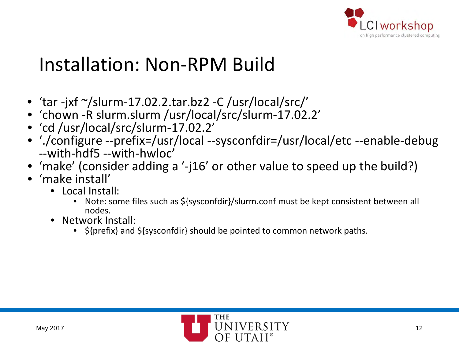

#### Installation: Non-RPM Build

- 'tar -jxf  $\gamma$ slurm-17.02.2.tar.bz2 -C /usr/local/src/'
- 'chown -R slurm.slurm /usr/local/src/slurm-17.02.2'
- 'cd /usr/local/src/slurm-17.02.2'
- './configure --prefix=/usr/local --sysconfdir=/usr/local/etc --enable-debug<br>--with-hdf5 --with-hwloc'
- 'make' (consider adding a '-j16' or other value to speed up the build?)
- 'make install'
	- Local Install:
		- Note: some files such as \${sysconfdir}/slurm.conf must be kept consistent between all nodes.
	- Network Install:
		- $\frac{1}{2}$  \${prefix} and \${sysconfdir} should be pointed to common network paths.

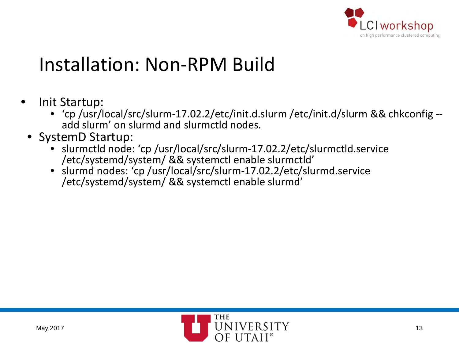

# Installation: Non-RPM Build

- Init Startup:
	- 'cp /usr/local/src/slurm-17.02.2/etc/init.d.slurm /etc/init.d/slurm && chkconfig -- add slurm' on slurmd and slurmctld nodes.
	- SystemD Startup:
		- slurmctld node: 'cp /usr/local/src/slurm-17.02.2/etc/slurmctld.service /etc/systemd/system/ && systemctl enable slurmctld'
		- slurmd nodes: 'cp /usr/local/src/slurm-17.02.2/etc/slurmd.service /etc/systemd/system/ && systemctl enable slurmd'

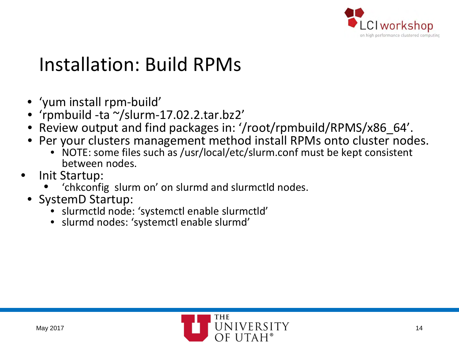

# Installation: Build RPMs

- 'yum install rpm-build'
- 'rpmbuild -ta ~/slurm-17.02.2.tar.bz2'
- Review output and find packages in: '/root/rpmbuild/RPMS/x86\_64'.
- Per your clusters management method install RPMs onto cluster nodes.
	- NOTE: some files such as /usr/local/etc/slurm.conf must be kept consistent between nodes.
- Init Startup:
	- 'chkconfig slurm on' on slurmd and slurmctld nodes.
- SystemD Startup:
	- slurmctld node: 'systemctl enable slurmctld'
	- slurmd nodes: 'systemctl enable slurmd'

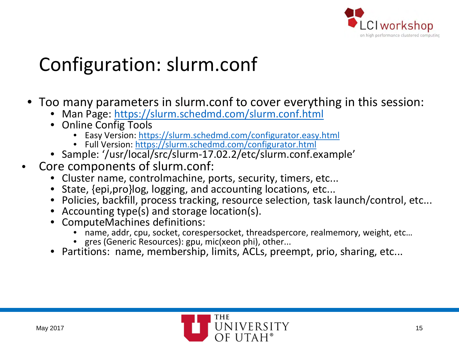

# Configuration: slurm.conf

- Too many parameters in slurm.conf to cover everything in this session:
	- Man Page:<https://slurm.schedmd.com/slurm.conf.html>
	- Online Config Tools
		- Easy Version:<https://slurm.schedmd.com/configurator.easy.html>
		- Full Version:<https://slurm.schedmd.com/configurator.html>
	- Sample: '/usr/local/src/slurm-17.02.2/etc/slurm.conf.example'
- Core components of slurm.conf:
	- Cluster name, controlmachine, ports, security, timers, etc...
	- State, {epi,pro}log, logging, and accounting locations, etc...
	- Policies, backfill, process tracking, resource selection, task launch/control, etc...
	- Accounting type(s) and storage location(s).
	- ComputeMachines definitions:
		- name, addr, cpu, socket, corespersocket, threadspercore, realmemory, weight, etc…
		- gres (Generic Resources): gpu, mic(xeon phi), other...
	- Partitions: name, membership, limits, ACLs, preempt, prio, sharing, etc...

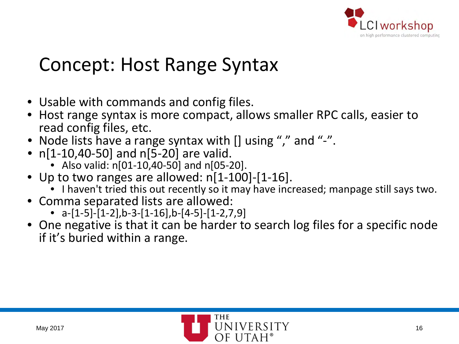

#### Concept: Host Range Syntax

- Usable with commands and config files.
- Host range syntax is more compact, allows smaller RPC calls, easier to read config files, etc.
- Node lists have a range syntax with [] using "," and "-".
- n[1-10,40-50] and n[5-20] are valid.
	- Also valid:  $n[01-10,40-50]$  and  $n[05-20]$ .
- Up to two ranges are allowed: n[1-100]-[1-16].
	- I haven't tried this out recently so it may have increased; manpage still says two.
- Comma separated lists are allowed:
	- $a-[1-5]-[1-2],b-3-[1-16],b-[4-5]-[1-2,7,9]$
- One negative is that it can be harder to search log files for a specific node if it's buried within a range.

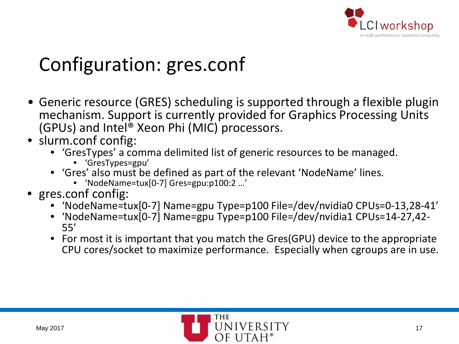

# Configuration: gres.conf

- Generic resource (GRES) scheduling is supported through a flexible plugin mechanism. Support is currently provided for Graphics Processing Units (GPUs) and Intel® Xeon Phi (MIC) processors.
- slurm.conf config:
	- 'GresTypes' a comma delimited list of generic resources to be managed.
		- 'GresTypes=gpu'
	- 'Gres' also must be defined as part of the relevant 'NodeName' lines.
		- 'NodeName=tux[0-7] Gres=gpu:p100:2 …'
- gres.conf config:
	- 'NodeName=tux[0-7] Name=gpu Type=p100 File=/dev/nvidia0 CPUs=0-13,28-41'
	- 'NodeName=tux[0-7] Name=gpu Type=p100 File=/dev/nvidia1 CPUs=14-27,42- 55'
	- For most it is important that you match the Gres(GPU) device to the appropriate CPU cores/socket to maximize performance. Especially when cgroups are in use.

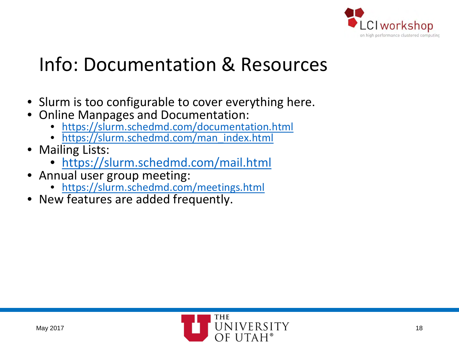

### Info: Documentation & Resources

- Slurm is too configurable to cover everything here.
- Online Manpages and Documentation:
	- <https://slurm.schedmd.com/documentation.html>
	- [https://slurm.schedmd.com/man\\_index.html](https://slurm.schedmd.com/man_index.html)
- Mailing Lists:
	- <https://slurm.schedmd.com/mail.html>
- Annual user group meeting:
	- <https://slurm.schedmd.com/meetings.html>
- New features are added frequently.

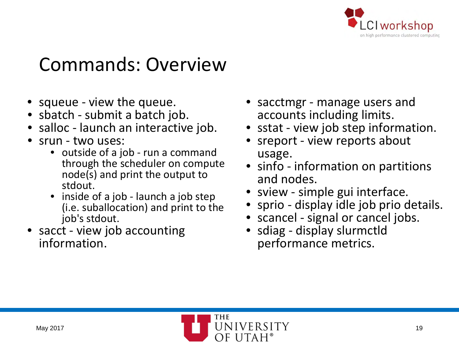

#### Commands: Overview

- squeue view the queue.
- sbatch submit a batch job.
- salloc launch an interactive job.
- srun two uses:
	- outside of a job run a command through the scheduler on compute node(s) and print the output to stdout.
	- inside of a job launch a job step (i.e. suballocation) and print to the job's stdout.
- sacct view job accounting information.
- sacctmgr manage users and accounts including limits.
- sstat view job step information.
- sreport view reports about usage.
- sinfo information on partitions and nodes.
- sview simple gui interface.
- sprio display idle job prio details.
- scancel signal or cancel jobs.
- sdiag display slurmctld performance metrics.

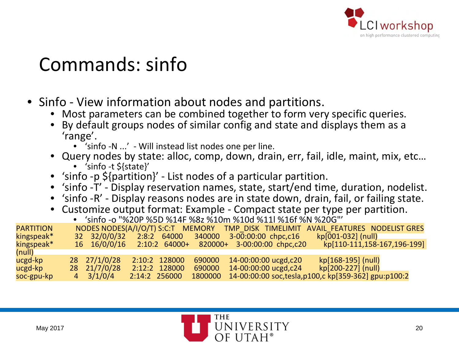

#### Commands: sinfo

- Sinfo View information about nodes and partitions.
	- Most parameters can be combined together to form very specific queries.
	- By default groups nodes of similar config and state and displays them as a 'range'.
		- 'sinfo -N ...' Will instead list nodes one per line.
	- Query nodes by state: alloc, comp, down, drain, err, fail, idle, maint, mix, etc…
		- 'sinfo -t \${state}'
	- 'sinfo -p \${partition}' List nodes of a particular partition.
	- 'sinfo -T' Display reservation names, state, start/end time, duration, nodelist.
	- 'sinfo -R' Display reasons nodes are in state down, drain, fail, or failing state.
	- Customize output format: Example Compact state per type per partition.
		- $\bullet$  'sinfo -o "%20P %5D %14F %8z %10m %10d %11l %16f %N %20G"

| <b>PARTITION</b> | NODES NODES(A/I/O/T) S:C:T MEMORY |               |        |                                                        | TMP DISK TIMELIMIT AVAIL FEATURES NODELIST GRES                 |
|------------------|-----------------------------------|---------------|--------|--------------------------------------------------------|-----------------------------------------------------------------|
| kingspeak*       | 32 32/0/0/32                      | 2:8:2 64000   | 340000 | 3-00:00:00 chpc,c16                                    | $kp[001-032]$ (null)                                            |
| kingspeak*       |                                   |               |        | 16 16/0/0/16 2:10:2 64000+ 820000+ 3-00:00:00 chpc,c20 | kp[110-111,158-167,196-199]                                     |
| (null)           |                                   |               |        |                                                        |                                                                 |
| ucgd-kp          | 28 27/1/0/28                      | 2:10:2 128000 | 690000 | 14-00:00:00 ucgd, c20                                  | kp[168-195] (null)                                              |
| ucgd-kp          | 28 21/7/0/28                      | 2:12:2 128000 | 690000 | 14-00:00:00 ucgd, c24                                  | kp[200-227] (null)                                              |
| soc-gpu-kp       | $4 \frac{3}{1/0}$ /4              | 2:14:2 256000 |        |                                                        | 1800000 14-00:00:00 soc, tesla, p100, c kp[359-362] gpu: p100:2 |

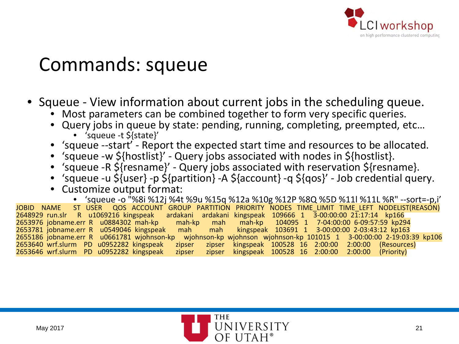

#### Commands: squeue

• Squeue - View information about current jobs in the scheduling queue.

- Most parameters can be combined together to form very specific queries.
- Query jobs in queue by state: pending, running, completing, preempted, etc…
	- 'squeue -t \${state}'
- 'squeue --start' Report the expected start time and resources to be allocated.
- 'squeue -w \${hostlist}' Query jobs associated with nodes in \${hostlist}.
- 'squeue -R \${resname}' Query jobs associated with reservation \${resname}.
- 'squeue -u \${user} -p \${partition} -A \${account} -q \${qos}' Job credential query.
- Customize output format:

• 'squeue -o "%8i %12j %4t %9u %15q %12a %10g %12P %8Q %5D %11l %11L %R" --sort=-p,i' JOBID NAME ST USER QOS ACCOUNT GROUP PARTITION PRIORITY NODES TIME LIMIT TIME LEFT NODELIST(REASON)<br>2648929 run.slr R u1069216 kingspeak ardakani ardakani kingspeak 109666 1 3-00:00:00-21:17:14 kp166 ardakani ardakani kingspeak 109666 1 3-00:00:00 21:17:14 kp166<br>2949.mah-kp mah mah-kp 104095 1 7-04:00:00 6-09:57:59 kp 2653976 jobname.err R u0884302 mah-kp mah-kp mah mah-kp<br>2653781 jobname.err R u0549046 kingspeak mah mah kingspeal mah mah kingspeak 103691 1 3-00:00:00 2-03:43:12 kp163 2655186 jobname.err R u0661781 wjohnson-kp wjohnson-kp wjohnson wjohnson-kp 101015 1 3-00:00:00 2-19:03:39 kp106 2653640 wrf.slurm PD u0952282 kingspeak zipser zipser kingspeak 100528 16 2:00:00 2:00:00 (Resources) 2653646 wrf.slurm PD u0952282 kingspeak zipser zipser kingspeak 100528 16 2:00:00 2:00:00 (Priority)

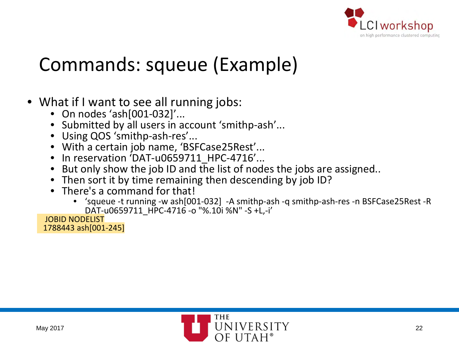

# Commands: squeue (Example)

# • What if I want to see all running jobs:<br>• On nodes 'ash[001-032]'...

- 
- Submitted by all users in account 'smithp-ash'...
- Using QOS 'smithp-ash-res'...
- With a certain job name, 'BSFCase25Rest'...
- In reservation 'DAT-u0659711 HPC-4716'...
- But only show the job ID and the list of nodes the jobs are assigned..
- Then sort it by time remaining then descending by job ID?
- There's a command for that!
	- 'squeue -t running -w ash[001-032] -A smithp-ash -q smithp-ash-res -n BSFCase25Rest -R DAT-u0659711\_HPC-4716 -o "%.10i %N" -S +L,-i'

JOBID NODELIST 1788443 ash[001-245]

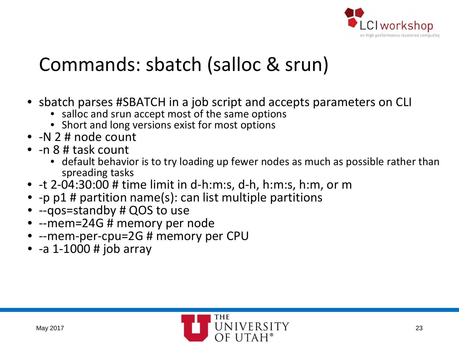

# Commands: sbatch (salloc & srun)

- sbatch parses #SBATCH in a job script and accepts parameters on CLI
	- salloc and srun accept most of the same options
	- Short and long versions exist for most options
- -N 2 # node count
- -n 8 # task count
	- default behavior is to try loading up fewer nodes as much as possible rather than spreading tasks
- -t 2-04:30:00 # time limit in d-h:m:s, d-h, h:m:s, h:m, or m
- -p p1 # partition name(s): can list multiple partitions
- --qos=standby # QOS to use
- --mem=24G # memory per node
- --mem-per-cpu=2G # memory per CPU
- $-a 1-1000 \# job array$

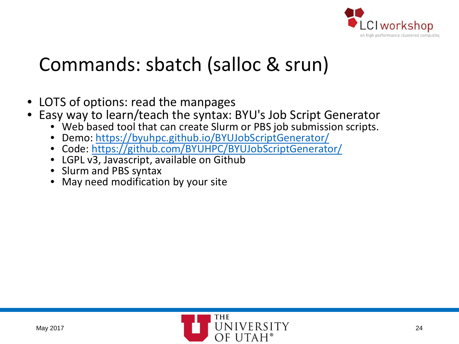

# Commands: sbatch (salloc & srun)

- LOTS of options: read the manpages
- Easy way to learn/teach the syntax: BYU's Job Script Generator
	- Web based tool that can create Slurm or PBS job submission scripts.
	- Demo: <https://byuhpc.github.io/BYUJobScriptGenerator/>
	- Code: <https://github.com/BYUHPC/BYUJobScriptGenerator/>
	- LGPL v3, Javascript, available on Github
	- Slurm and PBS syntax
	- May need modification by your site

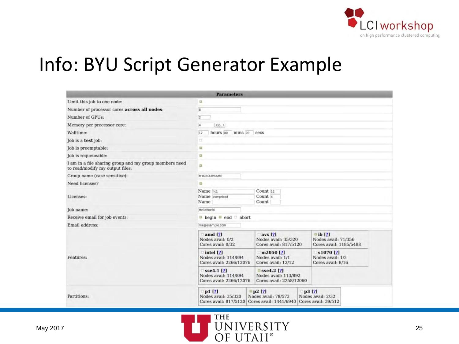

#### Info: BYU Script Generator Example

|                                                                                           | <b>Parameters</b>                                                               |                                                                            |                                                                |  |  |  |  |
|-------------------------------------------------------------------------------------------|---------------------------------------------------------------------------------|----------------------------------------------------------------------------|----------------------------------------------------------------|--|--|--|--|
| Limit this job to one node:                                                               | a                                                                               |                                                                            |                                                                |  |  |  |  |
| Number of processor cores across all nodes:                                               | $\overline{\mathrm{8}}$                                                         |                                                                            |                                                                |  |  |  |  |
| Number of GPUs:                                                                           | $\overline{2}$                                                                  |                                                                            |                                                                |  |  |  |  |
| Memory per processor core:                                                                | $\overline{a}$<br>GB +                                                          |                                                                            |                                                                |  |  |  |  |
| Walltime:                                                                                 | hours 00<br>mins 00 secs<br>12                                                  |                                                                            |                                                                |  |  |  |  |
| Job is a test job:                                                                        | o.                                                                              |                                                                            |                                                                |  |  |  |  |
| Job is preemptable:                                                                       | o                                                                               |                                                                            |                                                                |  |  |  |  |
| Job is requeueable:                                                                       | a                                                                               |                                                                            |                                                                |  |  |  |  |
| I am in a file sharing group and my group members need<br>to read/modify my output files: | a                                                                               |                                                                            |                                                                |  |  |  |  |
| Group name (case sensitive):                                                              | MYGROUPNAME                                                                     |                                                                            |                                                                |  |  |  |  |
| Need licenses?                                                                            | 趆                                                                               |                                                                            |                                                                |  |  |  |  |
| Licenses:                                                                                 | Name lic1<br>Count <sub>12</sub><br>Count 4<br>Name overpriced<br>Name<br>Count |                                                                            |                                                                |  |  |  |  |
| Job name:                                                                                 | HelloWorld                                                                      |                                                                            |                                                                |  |  |  |  |
| Receive email for job events:                                                             | $\Box$ begin $\Box$ end $\Box$ abort                                            |                                                                            |                                                                |  |  |  |  |
| Email address:                                                                            | me@example.com                                                                  |                                                                            |                                                                |  |  |  |  |
|                                                                                           | $\blacksquare$ amd [?]<br>Nodes avail: 0/2<br>Cores avail: 0/32                 | $\bf{avx}$ [?]<br>Nodes avail: 35/320<br>Cores avail: 817/5120             | $\Box$ ib [?]<br>Nodes avail: 71/356<br>Cores avail: 1185/5488 |  |  |  |  |
| Features:                                                                                 | $\Box$ intel [?]<br>Nodes avail: 114/894<br>Cores avail: 2266/12076             | $m2050$ [?]<br>Nodes avail: 1/1<br>Cores avail: 12/12                      | $$1070$ [?]<br>Nodes avail: 1/2<br>Cores avail: 8/16           |  |  |  |  |
|                                                                                           | sse4.1 <sup>[2]</sup><br>Nodes avail: 114/894<br>Cores avail: 2266/12076        | $\square$ sse4.2 [?]<br>Nodes avail: 113/892<br>Cores avail: 2258/12060    |                                                                |  |  |  |  |
| Partitions:                                                                               | $p1$ [?]<br>Nodes avail: 35/320<br>Cores avail: 817/5120                        | p2[?]<br>Nodes avail: 78/572<br>Cores avail: 1441/6940 Cores avail: 39/512 | p3 [?]<br>Nodes avail: 2/32                                    |  |  |  |  |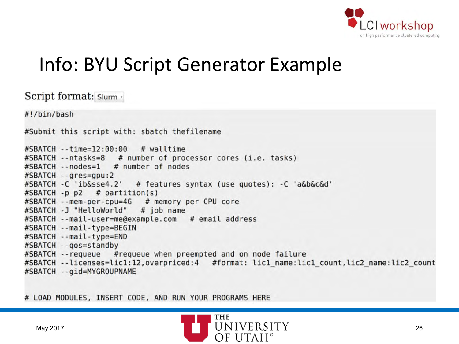

#### Info: BYU Script Generator Example

Script format: Slurm . #!/bin/bash #Submit this script with: sbatch thefilename #SBATCH --time=12:00:00 # walltime #SBATCH -- ntasks=8 # number of processor cores (i.e. tasks) #SBATCH --nodes=1 # number of nodes #SBATCH --gres=gpu:2 #SBATCH -C 'ib&sse4.2' # features syntax (use quotes): -C 'a&b&c&d' #SBATCH -p p2 # partition(s) #SBATCH --mem-per-cpu=4G # memory per CPU core #SBATCH -J "HelloWorld"  $#$  job name #SBATCH --mail-user=me@example.com # email address #SBATCH --mail-type=BEGIN #SBATCH --mail-type=END #SBATCH -- gos=standby #SBATCH -- requeue # requeue when preempted and on node failure #SBATCH --licenses=lic1:12,overpriced:4 #format: lic1 name:lic1 count,lic2 name:lic2 count #SBATCH -- gid=MYGROUPNAME

# LOAD MODULES, INSERT CODE, AND RUN YOUR PROGRAMS HERE

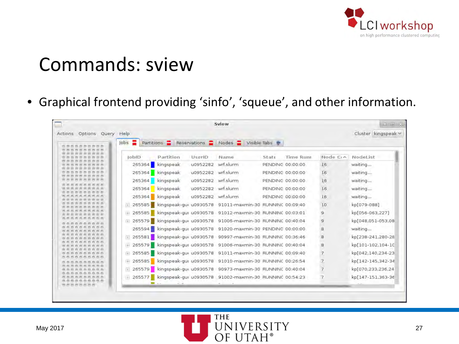

#### Commands: sview

• Graphical frontend providing 'sinfo', 'squeue', and other information.

| Options Query Help<br>Actions  |                        |                    |                                                                  |                  |           |                | Cluster kingspeak v |
|--------------------------------|------------------------|--------------------|------------------------------------------------------------------|------------------|-----------|----------------|---------------------|
| е<br>Jobs                      | Partitions <b>P</b>    | Reservations Nodes |                                                                  | Visible Tabs     |           |                |                     |
| <b>JobID</b>                   | Partition              | UserID             | Name                                                             | State            | Time Runt | Node Cin       | NodeList            |
|                                | 265364 kingspeak       | u0952282           | wrf.slurm                                                        | PENDING 00:00:00 |           | 16             | waiting             |
|                                | 265364 kingspeak       | u0952282           | wrf.slurm                                                        | PENDING 00:00:00 |           | 16             | waiting             |
|                                | 265364 kingspeak       | u0952282           | wrf.slurm                                                        | PENDING 00:00:00 |           | 16             | waiting             |
| 265364                         | kingspeak              | u0952282           | wrf.slurm                                                        | PENDING 00:00:00 |           | 16             | waiting             |
| 265364                         | kingspeak              | u0952282           | wrf.slurm                                                        | PENDING 00:00:00 |           | 16             | waiting             |
| F 265585                       | kingspeak-gut u0930578 |                    | 91011-maxmin-30 RUNNINC 00:09:40                                 |                  |           | 10             | kp[079-088]         |
| ₩ 265585                       |                        |                    | kingspeak-gut u0930578 91012-maxmin-30 RUNNINC 00:03:01          |                  |           | 9              | kp[056-063,227]     |
|                                |                        |                    | F 265579 kingspeak-gut u0930578 91006-maxmin-30 RUNNINC 00:40:04 |                  |           | 9              | kp[048,051-053,08   |
|                                |                        |                    | 265594 kingspeak-gut u0930578 91020-maxmin-30 PENDING 00:00:00   |                  |           | 8              | waiting             |
| $+ 265581$                     | kingspeak-gut u0930578 |                    | 90997-maxmin-30 RUNNINC 00:36:46                                 |                  |           | 8              | kp[238-241,280-28   |
|                                |                        |                    | + 265579 kingspeak-gut u0930578 91006-maxmin-30 RUNNINC 00:40:04 |                  |           | 8              | kp[101-102,104-10   |
| + 265585                       | kingspeak-gut u0930578 |                    | 91011-maxmin-30 RUNNINC 00:09:40                                 |                  |           | $\overline{7}$ | kp[042,140,234-23   |
| ₩ 265585                       | kingspeak-gut u0930578 |                    | 91010-maxmin-30 RUNNINC 00:26:54                                 |                  |           | $\overline{z}$ | kp[142-145,342-34   |
| ⊞ 265579                       |                        |                    | kingspeak-gut u0930578 90973-maxmin-30 RUNNINC 00:40:04          |                  |           | $\overline{7}$ | kp[070,233,236,24   |
| ₩ 265577<br>000000<br>やかのおおおおお |                        |                    | kingspeak-gut u0930578 91002-maxmin-30 RUNNINC 00:54:23          |                  |           |                | kp[147-151,363-36   |

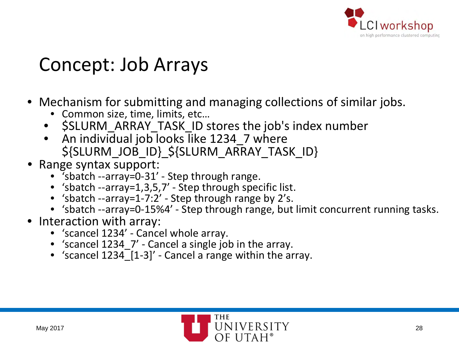

#### Concept: Job Arrays

- Mechanism for submitting and managing collections of similar jobs.
	- Common size, time, limits, etc…
	- \$SLURM\_ARRAY\_TASK\_ID stores the job's index number
	- An individual job looks like 1234 7 where \${SLURM\_JOB\_ID}\_\${SLURM\_ARRAY\_TASK\_ID}
- Range syntax support:
	- 'sbatch --array=0-31' Step through range.
	- 'sbatch --array=1,3,5,7' Step through specific list.
	- 'sbatch --array=1-7:2' Step through range by 2's.
	- 'sbatch --array=0-15%4' Step through range, but limit concurrent running tasks.
- Interaction with array:
	- 'scancel 1234' Cancel whole array.
	- 'scancel 1234\_7' Cancel a single job in the array.
	- 'scancel  $1234$  [1-3]' Cancel a range within the array.

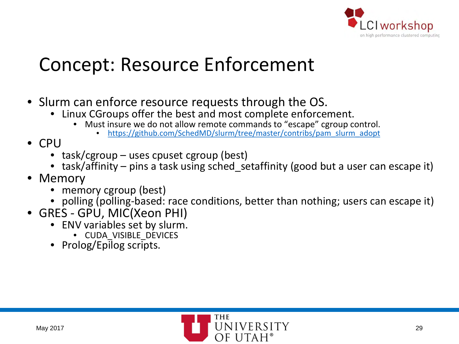

#### Concept: Resource Enforcement

- Slurm can enforce resource requests through the OS.
	- Linux CGroups offer the best and most complete enforcement.
		- Must insure we do not allow remote commands to "escape" cgroup control. [https://github.com/SchedMD/slurm/tree/master/contribs/pam\\_slurm\\_adopt](https://github.com/SchedMD/slurm/tree/master/contribs/pam_slurm_adopt)
			-
- CPU
	- task/cgroup uses cpuset cgroup (best)
	- task/affinity pins a task using sched setaffinity (good but a user can escape it)
- Memory
	- memory cgroup (best)
	- polling (polling-based: race conditions, better than nothing; users can escape it)
- GRES GPU, MIC(Xeon PHI)
	- ENV variables set by slurm.
		- CUDA\_VISIBLE\_DEVICES
	- Prolog/Epilog scripts.

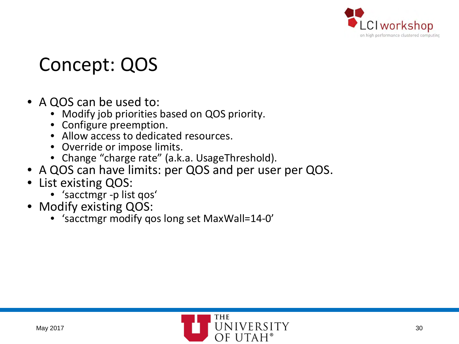

#### Concept: QOS

#### • A QOS can be used to:

- Modify job priorities based on QOS priority.
- Configure preemption.
- Allow access to dedicated resources.
- Override or impose limits.
- Change "charge rate" (a.k.a. UsageThreshold).
- A QOS can have limits: per QOS and per user per QOS.
- List existing QOS:
	- 'sacctmgr -p list qos'
- Modify existing QOS:
	- 'sacctmgr modify qos long set MaxWall=14-0'

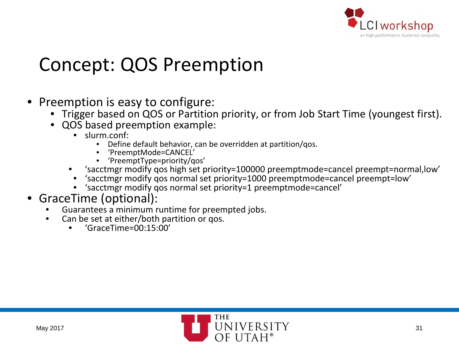

#### Concept: QOS Preemption

- Preemption is easy to configure:
	- Trigger based on QOS or Partition priority, or from Job Start Time (youngest first).
	- QOS based preemption example:<br>• slurm.conf:
		-
		- slurm.conf:<br>• Define default behavior, can be overridden at partition/qos.<br>• 'PreemptType=priority/qos'<br>• 'PreemptType=priority/qos'
			-
			-
		- 'sacctmgr modify qos high set priority=100000 preemptmode=cancel preempt=normal,low'
		- 'sacctmgr modify qos normal set priority=1000 preemptmode=cancel preempt=low'
		- 'sacctmgr modify qos normal set priority=1 preemptmode=cancel'
- GraceTime (optional):
	- Guarantees a minimum runtime for preempted jobs.
	- Can be set at either/both partition or qos.
		- 'GraceTime=00:15:00'

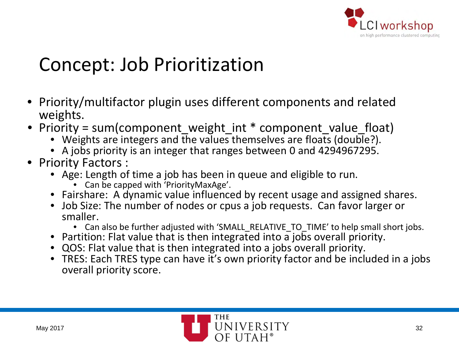

#### Concept: Job Prioritization

- Priority/multifactor plugin uses different components and related weights.
- Priority = sum(component\_weight\_int \* component\_value\_float)
	- Weights are integers and the values themselves are floats (double?).
	- A jobs priority is an integer that ranges between 0 and 4294967295.
- Priority Factors :
	- Age: Length of time a job has been in queue and eligible to run.
		- Can be capped with 'PriorityMaxAge'.
	- Fairshare: A dynamic value influenced by recent usage and assigned shares.
	- Job Size: The number of nodes or cpus a job requests. Can favor larger or smaller.
		- Can also be further adjusted with 'SMALL\_RELATIVE\_TO\_TIME' to help small short jobs.
	- Partition: Flat value that is then integrated into a jobs overall priority.
	- QOS: Flat value that is then integrated into a jobs overall priority.
	- TRES: Each TRES type can have it's own priority factor and be included in a jobs overall priority score.

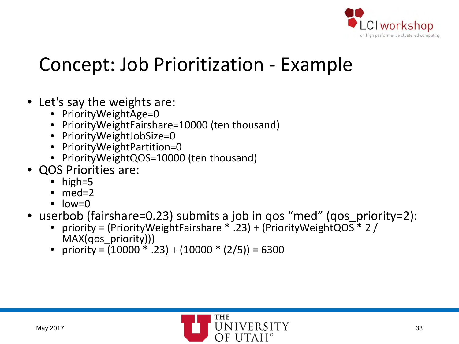

#### Concept: Job Prioritization - Example

- Let's say the weights are:
	- PriorityWeightAge=0
	- PriorityWeightFairshare=10000 (ten thousand)
	- PriorityWeightJobSize=0
	- PriorityWeightPartition=0
	- PriorityWeightQOS=10000 (ten thousand)
- QOS Priorities are:
	- high=5
	- $\bullet$  med=2
	- $\bullet$  low=0
- userbob (fairshare=0.23) submits a job in qos "med" (qos priority=2):
	- priority = (PriorityWeightFairshare \* .23) + (PriorityWeightQOS \* 2 / MAX(qos\_priority)))
	- priority =  $(10000 * .23) + (10000 * (2/5)) = 6300$

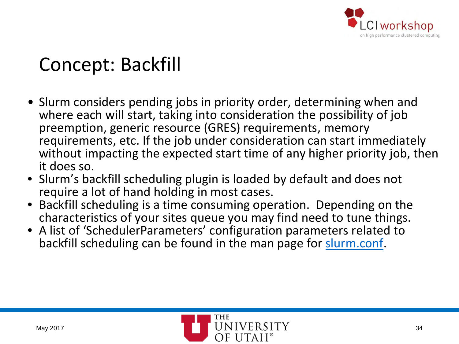

## Concept: Backfill

- Slurm considers pending jobs in priority order, determining when and where each will start, taking into consideration the possibility of job preemption, generic resource (GRES) requirements, memory requirements, etc. If the job under consideration can start immediately without impacting the expected start time of any higher priority job, then it does so.
- Slurm's backfill scheduling plugin is loaded by default and does not require a lot of hand holding in most cases.
- Backfill scheduling is a time consuming operation. Depending on the characteristics of your sites queue you may find need to tune things.
- A list of 'SchedulerParameters' configuration parameters related to backfill scheduling can be found in the man page for [slurm.conf.](https://slurm.schedmd.com/slurm.conf.html)

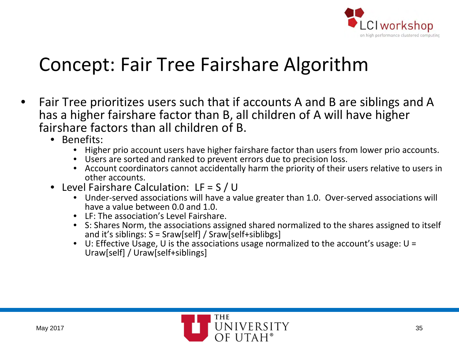

#### Concept: Fair Tree Fairshare Algorithm

- Fair Tree prioritizes users such that if accounts A and B are siblings and A has a higher fairshare factor than B, all children of A will have higher fairshare factors than all children of B.
	- Benefits:
		- Higher prio account users have higher fairshare factor than users from lower prio accounts.
		- Users are sorted and ranked to prevent errors due to precision loss.
		- Account coordinators cannot accidentally harm the priority of their users relative to users in other accounts.
	- Level Fairshare Calculation: LF = S / U
		- Under-served associations will have a value greater than 1.0. Over-served associations will have a value between 0.0 and 1.0.
		- LF: The association's Level Fairshare.
		- S: Shares Norm, the associations assigned shared normalized to the shares assigned to itself and it's siblings:  $S = \text{Sraw}[\text{self}] / \text{Sraw}[\text{self} + \text{sibling}]$
		- U: Effective Usage, U is the associations usage normalized to the account's usage:  $U =$ Uraw[self] / Uraw[self+siblings]

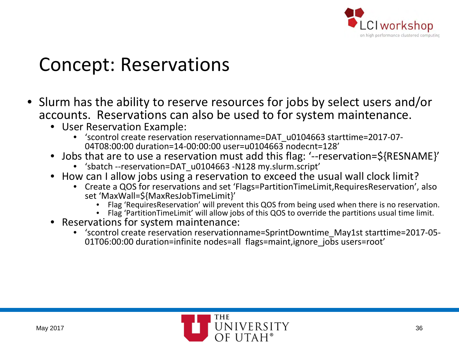

#### Concept: Reservations

- Slurm has the ability to reserve resources for jobs by select users and/or accounts. Reservations can also be used to for system maintenance.
	- User Reservation Example:
		- 'scontrol create reservation reservationname=DAT\_u0104663 starttime=2017-07- 04T08:00:00 duration=14-00:00:00 user=u0104663 nodecnt=128'
	- Jobs that are to use a reservation must add this flag: '--reservation=\${RESNAME}'
		- 'sbatch --reservation=DAT\_u0104663 -N128 my.slurm.script'
	- How can I allow jobs using a reservation to exceed the usual wall clock limit?
		- Create a QOS for reservations and set 'Flags=PartitionTimeLimit,RequiresReservation', also set 'MaxWall=\${MaxResJobTimeLimit}'
			- Flag 'RequiresReservation' will prevent this QOS from being used when there is no reservation.<br>Flag 'PartitionTimeLimit' will allow jobs of this QOS to override the partitions usual time limit.
			-
	- Reservations for system maintenance:
		- 'scontrol create reservation reservationname=SprintDowntime\_May1st starttime=2017-05-<br>01T06:00:00 duration=infinite nodes=all flags=maint,ignore jobs users=root'

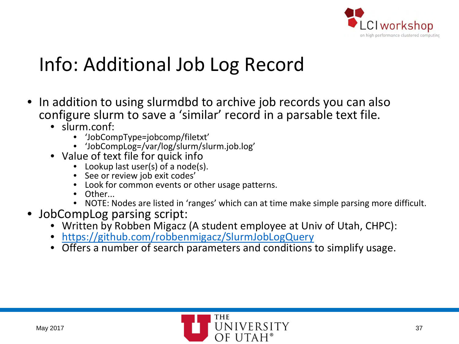

### Info: Additional Job Log Record

- In addition to using slurmdbd to archive job records you can also configure slurm to save a 'similar' record in a parsable text file.
	- slurm.conf:
		- 'JobCompType=jobcomp/filetxt'
		- 'JobCompLog=/var/log/slurm/slurm.job.log'
	- Value of text file for quick info
		- Lookup last user(s) of a node(s).
		- See or review job exit codes'
		- Look for common events or other usage patterns.
		- Other...
		- NOTE: Nodes are listed in 'ranges' which can at time make simple parsing more difficult.
- JobCompLog parsing script:
	- Written by Robben Migacz (A student employee at Univ of Utah, CHPC):
	- <https://github.com/robbenmigacz/SlurmJobLogQuery>
	- Offers a number of search parameters and conditions to simplify usage.

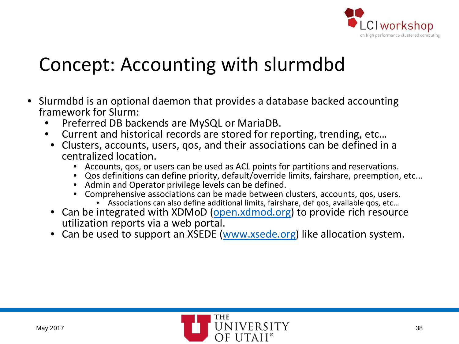

#### Concept: Accounting with slurmdbd

- Slurmdbd is an optional daemon that provides a database backed accounting framework for Slurm:
	- Preferred DB backends are MySQL or MariaDB.
	- Current and historical records are stored for reporting, trending, etc…
	- Clusters, accounts, users, qos, and their associations can be defined in a centralized location.
		- Accounts, qos, or users can be used as ACL points for partitions and reservations.
		- Qos definitions can define priority, default/override limits, fairshare, preemption, etc...
		- Admin and Operator privilege levels can be defined.
		- Comprehensive associations can be made between clusters, accounts, qos, users. Associations can also define additional limits, fairshare, def qos, available qos, etc…
			-
	- Can be integrated with XDMoD [\(open.xdmod.org](http://open.xdmod.org/)) to provide rich resource utilization reports via a web portal.
	- Can be used to support an XSEDE ([www.xsede.org\)](https://www.xsede.org/) like allocation system.

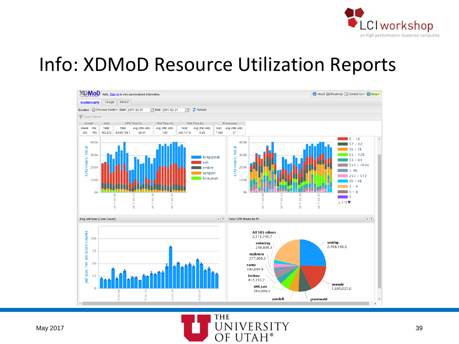

#### Info: XDMoD Resource Utilization Reports



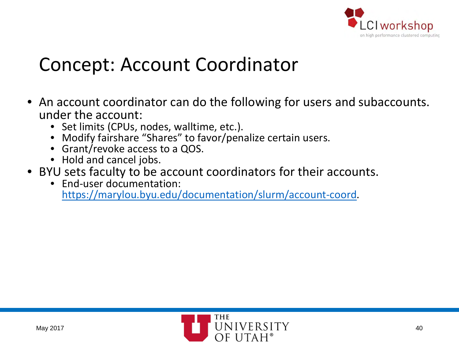

#### Concept: Account Coordinator

- An account coordinator can do the following for users and subaccounts. under the account:
	- Set limits (CPUs, nodes, walltime, etc.).
	- Modify fairshare "Shares" to favor/penalize certain users.
	- Grant/revoke access to a QOS.
	- Hold and cancel jobs.
- BYU sets faculty to be account coordinators for their accounts.
	- End-user documentation: [https://marylou.byu.edu/documentation/slurm/account-coord.](https://marylou.byu.edu/documentation/slurm/account-coord)

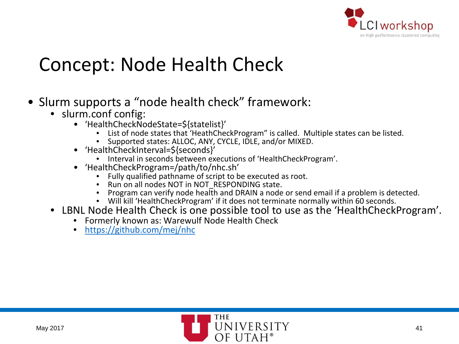

#### Concept: Node Health Check

- Slurm supports a "node health check" framework:
	-
	- slurm.conf config:<br>• HealthCheckNodeState=\${statelist}'
		- List of node states that 'HeathCheckProgram" is called. Multiple states can be listed.<br>• Supported states: ALLOC, ANY, CYCLE, IDLE, and/or MIXED.<br>• 'HealthCheckInterval=\${seconds}'
			-
		-
		- Interval in seconds between executions of 'HealthCheckProgram'.<br>
		'HealthCheckProgram=/path/to/nhc.sh'
		- -
			-
			- Fully qualified pathname of script to be executed as root.<br>• Run on all nodes NOT in NOT\_RESPONDING state.<br>• Program can verify node health and DRAIN a node or send email if a problem is detected.<br>• Will kill 'HealthChec
			-
	- LBNL Node Health Check is one possible tool to use as the 'HealthCheckProgram'.
		- Formerly known as: Warewulf Node Health Check
		- <https://github.com/mej/nhc>

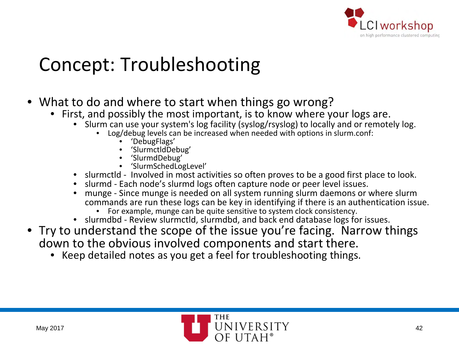

# Concept: Troubleshooting

- What to do and where to start when things go wrong?
	- First, and possibly the most important, is to know where your logs are.
		- Slurm can use your system's log facility (syslog/rsyslog) to locally and or remotely log.<br>• Log/debug levels can be increased when needed with options in slurm.conf:<br>• 'DebugFlags'<br>• 'SlurmdDebug'<br>• 'SlurmdDebug'<br>• 'Slur
			- -
				-
				-
				-
		- slurmctld Involved in most activities so often proves to be a good first place to look.
		- slurmd Each node's slurmd logs often capture node or peer level issues.
		- munge Since munge is needed on all system running slurm daemons or where slurm commands are run these logs can be key in identifying if there is an authentication issue. • For example, munge can be quite sensitive to system clock consistency.
			-
		- slurmdbd Review slurmctld, slurmdbd, and back end database logs for issues.
- Try to understand the scope of the issue you're facing. Narrow things down to the obvious involved components and start there.
	- Keep detailed notes as you get a feel for troubleshooting things.

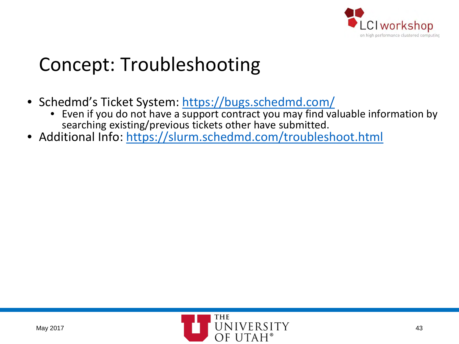

# Concept: Troubleshooting

- Schedmd's Ticket System: <https://bugs.schedmd.com/>
	- Even if you do not have a support contract you may find valuable information by searching existing/previous tickets other have submitted.
- Additional Info:<https://slurm.schedmd.com/troubleshoot.html>

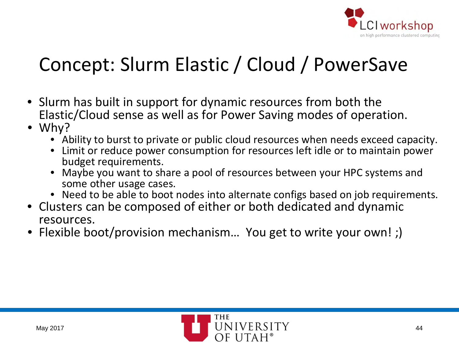

# Concept: Slurm Elastic / Cloud / PowerSave

- Slurm has built in support for dynamic resources from both the Elastic/Cloud sense as well as for Power Saving modes of operation.
- Why?
	- Ability to burst to private or public cloud resources when needs exceed capacity.
	- Limit or reduce power consumption for resources left idle or to maintain power budget requirements.
	- Maybe you want to share a pool of resources between your HPC systems and some other usage cases.
	- Need to be able to boot nodes into alternate configs based on job requirements.
- Clusters can be composed of either or both dedicated and dynamic resources.
- Flexible boot/provision mechanism... You get to write your own!;)

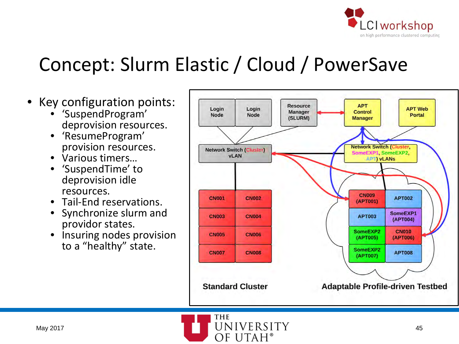

### Concept: Slurm Elastic / Cloud / PowerSave

- Key configuration points:
	- 'SuspendProgram' deprovision resources.
	- 'ResumeProgram' provision resources.
	- Various timers…
	- 'SuspendTime' to deprovision idle resources.
	- Tail-End reservations.
	- Synchronize slurm and providor states.
	- Insuring nodes provision to a "healthy" state.



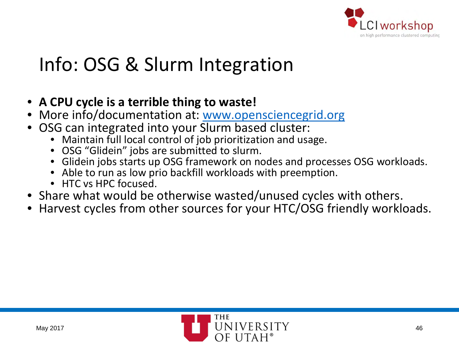

# Info: OSG & Slurm Integration

- **A CPU cycle is a terrible thing to waste!**
- More info/documentation at: [www.opensciencegrid.org](https://www.opensciencegrid.org/)
- OSG can integrated into your Slurm based cluster:
	- Maintain full local control of job prioritization and usage.
	- OSG "Glidein" jobs are submitted to slurm.
	- Glidein jobs starts up OSG framework on nodes and processes OSG workloads.
	- Able to run as low prio backfill workloads with preemption.
	- HTC vs HPC focused.
- Share what would be otherwise wasted/unused cycles with others.
- Harvest cycles from other sources for your HTC/OSG friendly workloads.

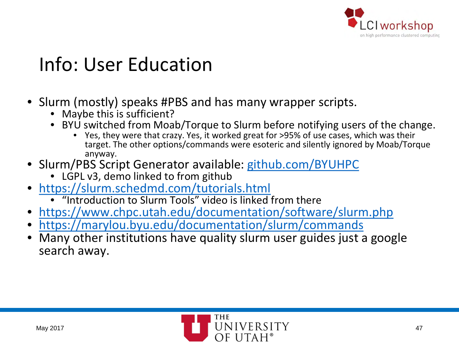

# Info: User Education

- Slurm (mostly) speaks #PBS and has many wrapper scripts.
	- Maybe this is sufficient?
	- BYU switched from Moab/Torque to Slurm before notifying users of the change.
		- Yes, they were that crazy. Yes, it worked great for >95% of use cases, which was their target. The other options/commands were esoteric and silently ignored by Moab/Torque anyway.
- Slurm/PBS Script Generator available: [github.com/BYUHPC](https://github.com/BYUHPC)
	- LGPL v3, demo linked to from github
- <https://slurm.schedmd.com/tutorials.html>
	- "Introduction to Slurm Tools" video is linked from there
- <https://www.chpc.utah.edu/documentation/software/slurm.php>
- <https://marylou.byu.edu/documentation/slurm/commands>
- Many other institutions have quality slurm user guides just a google search away.

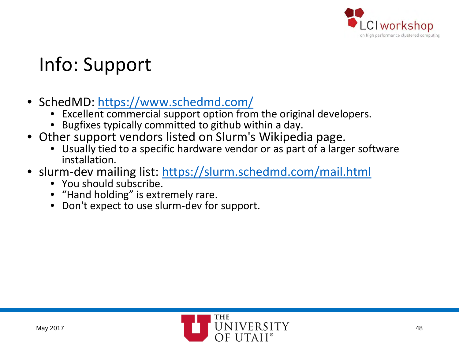

# Info: Support

- SchedMD:<https://www.schedmd.com/>
	- Excellent commercial support option from the original developers.
	- Bugfixes typically committed to github within a day.
- Other support vendors listed on Slurm's Wikipedia page.
	- Usually tied to a specific hardware vendor or as part of a larger software installation.
- slurm-dev mailing list: <https://slurm.schedmd.com/mail.html>
	- You should subscribe.
	- "Hand holding" is extremely rare.
	- Don't expect to use slurm-dev for support.

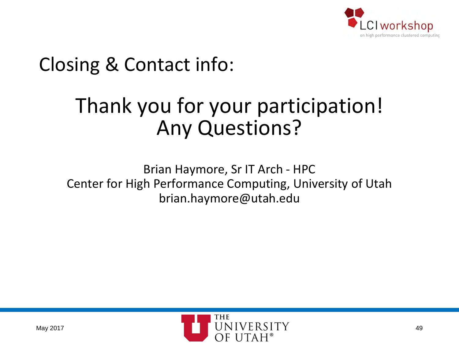

# Closing & Contact info:

# Thank you for your participation! Any Questions?

Brian Haymore, Sr IT Arch - HPC Center for High Performance Computing, University of Utah brian.haymore@utah.edu